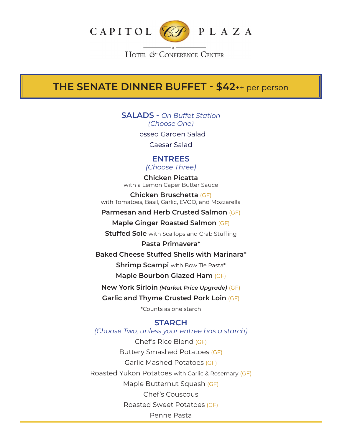

HOTEL & CONFERENCE CENTER

# **THE SENATE DINNER BUFFET - \$42**++ per person

**SALADS -** *On Buffet Station (Choose One)* Tossed Garden Salad Caesar Salad

**ENTREES**

*(Choose Three)*

**Chicken Picatta** with a Lemon Caper Butter Sauce

**Chicken Bruschetta** (GF) with Tomatoes, Basil, Garlic, EVOO, and Mozzarella

**Parmesan and Herb Crusted Salmon** (GF)

**Maple Ginger Roasted Salmon** (GF)

**Stuffed Sole** with Scallops and Crab Stuffing

**Pasta Primavera\***

**Baked Cheese Stuffed Shells with Marinara\***

**Shrimp Scampi** with Bow Tie Pasta\*

**Maple Bourbon Glazed Ham** (GF)

**New York Sirloin** *(Market Price Upgrade)* (GF)

**Garlic and Thyme Crusted Pork Loin** (GF)

\*Counts as one starch

### **STARCH**

*(Choose Two, unless your entree has a starch)*

Chef's Rice Blend (GF) Buttery Smashed Potatoes (GF) Garlic Mashed Potatoes (GF) Roasted Yukon Potatoes with Garlic & Rosemary (GF) Maple Butternut Squash (GF) Chef's Couscous Roasted Sweet Potatoes (GF) Penne Pasta